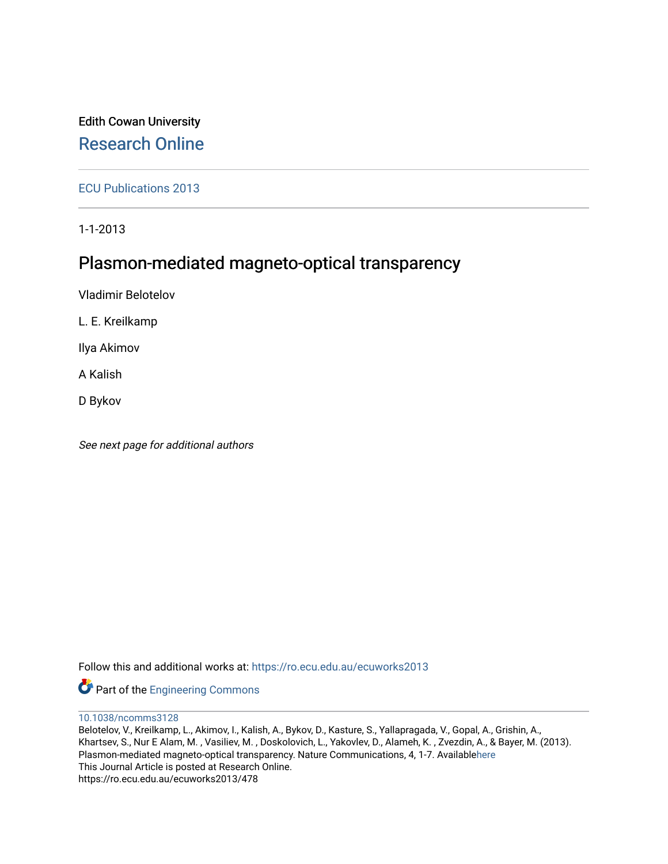# Edith Cowan University [Research Online](https://ro.ecu.edu.au/)

[ECU Publications 2013](https://ro.ecu.edu.au/ecuworks2013)

1-1-2013

# Plasmon-mediated magneto-optical transparency

Vladimir Belotelov

L. E. Kreilkamp

Ilya Akimov

A Kalish

D Bykov

See next page for additional authors

Follow this and additional works at: [https://ro.ecu.edu.au/ecuworks2013](https://ro.ecu.edu.au/ecuworks2013?utm_source=ro.ecu.edu.au%2Fecuworks2013%2F478&utm_medium=PDF&utm_campaign=PDFCoverPages) 

Part of the [Engineering Commons](http://network.bepress.com/hgg/discipline/217?utm_source=ro.ecu.edu.au%2Fecuworks2013%2F478&utm_medium=PDF&utm_campaign=PDFCoverPages)

[10.1038/ncomms3128](http://dx.doi.org/10.1038/ncomms3128) 

Belotelov, V., Kreilkamp, L., Akimov, I., Kalish, A., Bykov, D., Kasture, S., Yallapragada, V., Gopal, A., Grishin, A., Khartsev, S., Nur E Alam, M. , Vasiliev, M. , Doskolovich, L., Yakovlev, D., Alameh, K. , Zvezdin, A., & Bayer, M. (2013). Plasmon-mediated magneto-optical transparency. Nature Communications, 4, 1-7. Available[here](http://dx.doi.org/10.1038/ncomms3128) This Journal Article is posted at Research Online. https://ro.ecu.edu.au/ecuworks2013/478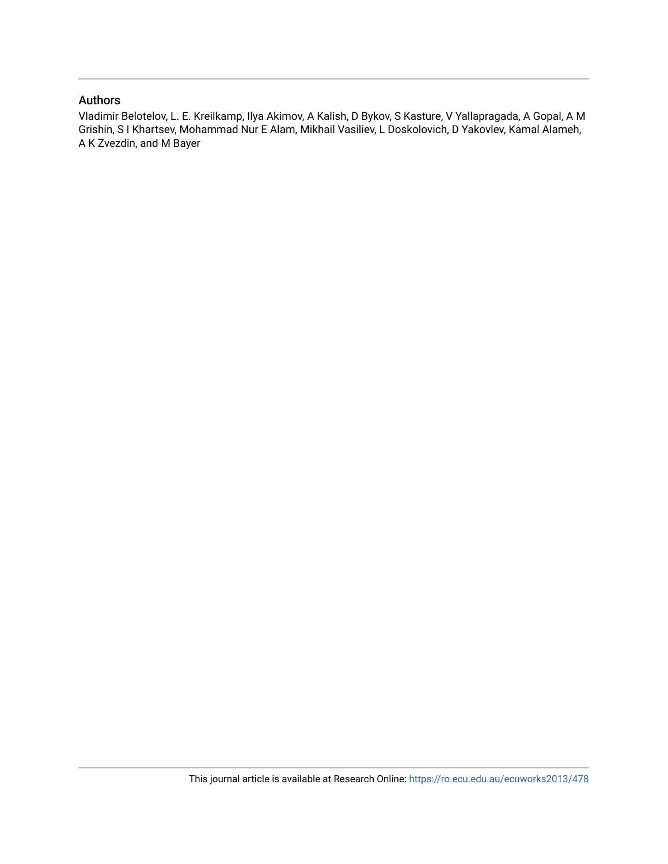# Authors

Vladimir Belotelov, L. E. Kreilkamp, Ilya Akimov, A Kalish, D Bykov, S Kasture, V Yallapragada, A Gopal, A M Grishin, S I Khartsev, Mohammad Nur E Alam, Mikhail Vasiliev, L Doskolovich, D Yakovlev, Kamal Alameh, A K Zvezdin, and M Bayer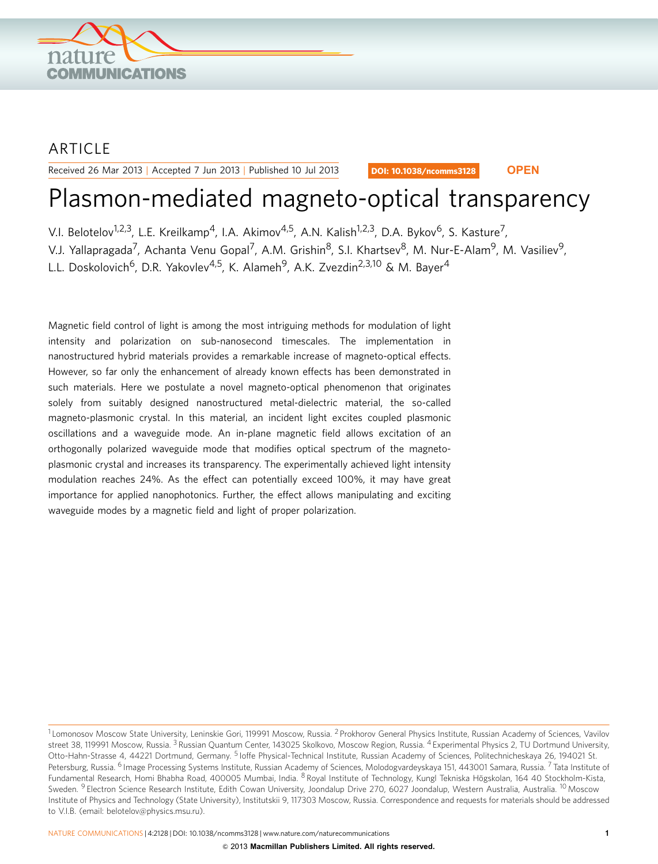

# ARTICLE

Received 26 Mar 2013 | Accepted 7 Jun 2013 | Published 10 Jul 2013

DOI: 10.1038/ncomms3128 **OPEN**

# Plasmon-mediated magneto-optical transparency

V.I. Belotelov<sup>1,2,3</sup>, L.E. Kreilkamp<sup>4</sup>, I.A. Akimov<sup>4,5</sup>, A.N. Kalish<sup>1,2,3</sup>, D.A. Bykov<sup>6</sup>, S. Kasture<sup>7</sup>,

V.J. Yallapragada<sup>7</sup>, Achanta Venu Gopal<sup>7</sup>, A.M. Grishin<sup>8</sup>, S.I. Khartsev<sup>8</sup>, M. Nur-E-Alam<sup>9</sup>, M. Vasiliev<sup>9</sup>,

L.L. Doskolovich<sup>6</sup>, D.R. Yakovlev<sup>4,5</sup>, K. Alameh<sup>9</sup>, A.K. Zvezdin<sup>2,3,10</sup> & M. Bayer<sup>4</sup>

Magnetic field control of light is among the most intriguing methods for modulation of light intensity and polarization on sub-nanosecond timescales. The implementation in nanostructured hybrid materials provides a remarkable increase of magneto-optical effects. However, so far only the enhancement of already known effects has been demonstrated in such materials. Here we postulate a novel magneto-optical phenomenon that originates solely from suitably designed nanostructured metal-dielectric material, the so-called magneto-plasmonic crystal. In this material, an incident light excites coupled plasmonic oscillations and a waveguide mode. An in-plane magnetic field allows excitation of an orthogonally polarized waveguide mode that modifies optical spectrum of the magnetoplasmonic crystal and increases its transparency. The experimentally achieved light intensity modulation reaches 24%. As the effect can potentially exceed 100%, it may have great importance for applied nanophotonics. Further, the effect allows manipulating and exciting waveguide modes by a magnetic field and light of proper polarization.

NATURE COMMUNICATIONS | 4:2128 | DOI: 10.1038/ncomms3128 | [www.nature.com/naturecommunications](http://www.nature.com/naturecommunications) 1

<sup>&</sup>lt;sup>1</sup> Lomonosov Moscow State University, Leninskie Gori, 119991 Moscow, Russia. <sup>2</sup> Prokhorov General Physics Institute, Russian Academy of Sciences, Vavilov street 38, 119991 Moscow, Russia. <sup>3</sup> Russian Quantum Center, 143025 Skolkovo, Moscow Region, Russia. <sup>4</sup> Experimental Physics 2, TU Dortmund University, Otto-Hahn-Strasse 4, 44221 Dortmund, Germany. <sup>5</sup> Ioffe Physical-Technical Institute, Russian Academy of Sciences, Politechnicheskaya 26, 194021 St. Petersburg, Russia. <sup>6</sup> Image Processing Systems Institute, Russian Academy of Sciences, Molodogvardeyskaya 151, 443001 Samara, Russia. 7 Tata Institute of Fundamental Research, Homi Bhabha Road, 400005 Mumbai, India. <sup>8</sup> Royal Institute of Technology, Kungl Tekniska Högskolan, 164 40 Stockholm-Kista, Sweden. <sup>9</sup> Electron Science Research Institute, Edith Cowan University, Joondalup Drive 270, 6027 Joondalup, Western Australia, Australia. <sup>10</sup> Moscow Institute of Physics and Technology (State University), Institutskii 9, 117303 Moscow, Russia. Correspondence and requests for materials should be addressed to V.I.B. (email: [belotelov@physics.msu.ru\)](mailto:belotelov@physics.msu.ru).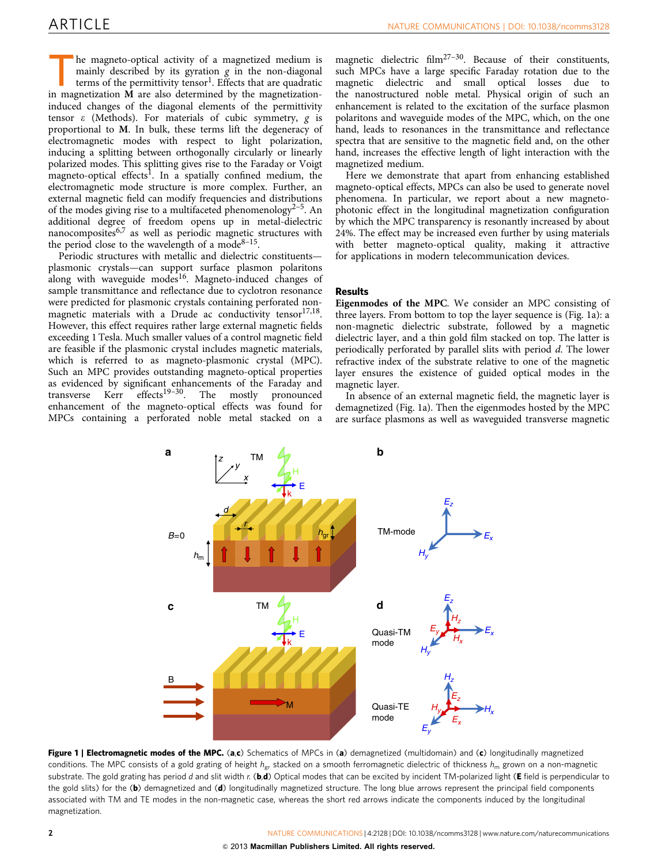<span id="page-3-0"></span>The magneto-optical activity of a magnetized medium is<br>mainly described by its gyration g in the non-diagonal<br>terms of the permittivity tensor<sup>1</sup>. Effects that are quadratic<br>in magnetization **M** are also determined by the mainly described by its gyration  $g$  in the non-diagonal in magnetization M are also determined by the magnetizationinduced changes of the diagonal elements of the permittivity tensor  $\varepsilon$  (Methods). For materials of cubic symmetry,  $\rho$  is proportional to M. In bulk, these terms lift the degeneracy of electromagnetic modes with respect to light polarization, inducing a splitting between orthogonally circularly or linearly polarized modes. This splitting gives rise to the Faraday or Voigt magneto-optical effects<sup>[1](#page-7-0)</sup>. In a spatially confined medium, the electromagnetic mode structure is more complex. Further, an external magnetic field can modify frequencies and distributions of the modes giving rise to a multifaceted phenomenology<sup>2-5</sup>. An additional degree of freedom opens up in metal-dielectric nanocomposites $6.7$  as well as periodic magnetic structures with the period close to the wavelength of a mode<sup>8-15</sup>.

Periodic structures with metallic and dielectric constituents plasmonic crystals—can support surface plasmon polaritons along with waveguide modes<sup>16</sup>. Magneto-induced changes of sample transmittance and reflectance due to cyclotron resonance were predicted for plasmonic crystals containing perforated nonmagnetic materials with a Drude ac conductivity tensor $17,18$ . However, this effect requires rather large external magnetic fields exceeding 1 Tesla. Much smaller values of a control magnetic field are feasible if the plasmonic crystal includes magnetic materials, which is referred to as magneto-plasmonic crystal (MPC). Such an MPC provides outstanding magneto-optical properties as evidenced by significant enhancements of the Faraday and transverse  $Kerr$  effects<sup>19-30</sup>. The mostly pronounced  $effects<sup>19-30</sup>$ . The mostly pronounced enhancement of the magneto-optical effects was found for MPCs containing a perforated noble metal stacked on a

magnetic dielectric film<sup>27-30</sup>. Because of their constituents, such MPCs have a large specific Faraday rotation due to the magnetic dielectric and small optical losses due to the nanostructured noble metal. Physical origin of such an enhancement is related to the excitation of the surface plasmon polaritons and waveguide modes of the MPC, which, on the one hand, leads to resonances in the transmittance and reflectance spectra that are sensitive to the magnetic field and, on the other hand, increases the effective length of light interaction with the magnetized medium.

Here we demonstrate that apart from enhancing established magneto-optical effects, MPCs can also be used to generate novel phenomena. In particular, we report about a new magnetophotonic effect in the longitudinal magnetization configuration by which the MPC transparency is resonantly increased by about 24%. The effect may be increased even further by using materials with better magneto-optical quality, making it attractive for applications in modern telecommunication devices.

## Results

Eigenmodes of the MPC. We consider an MPC consisting of three layers. From bottom to top the layer sequence is (Fig. 1a): a non-magnetic dielectric substrate, followed by a magnetic dielectric layer, and a thin gold film stacked on top. The latter is periodically perforated by parallel slits with period d. The lower refractive index of the substrate relative to one of the magnetic layer ensures the existence of guided optical modes in the magnetic layer.

In absence of an external magnetic field, the magnetic layer is demagnetized (Fig. 1a). Then the eigenmodes hosted by the MPC are surface plasmons as well as waveguided transverse magnetic



Figure 1 | Electromagnetic modes of the MPC. (a,c) Schematics of MPCs in (a) demagnetized (multidomain) and (c) longitudinally magnetized conditions. The MPC consists of a gold grating of height  $h_{gr}$  stacked on a smooth ferromagnetic dielectric of thickness  $h_m$  grown on a non-magnetic substrate. The gold grating has period d and slit width r. (b,d) Optical modes that can be excited by incident TM-polarized light (E field is perpendicular to the gold slits) for the (b) demagnetized and (d) longitudinally magnetized structure. The long blue arrows represent the principal field components associated with TM and TE modes in the non-magnetic case, whereas the short red arrows indicate the components induced by the longitudinal magnetization.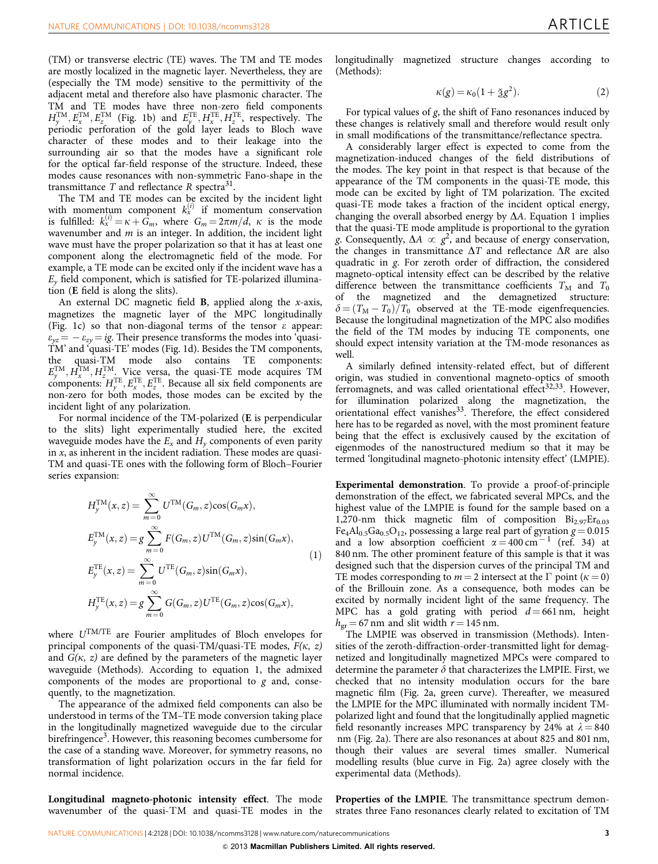(TM) or transverse electric (TE) waves. The TM and TE modes are mostly localized in the magnetic layer. Nevertheless, they are (especially the TM mode) sensitive to the permittivity of the adjacent metal and therefore also have plasmonic character. The TM and TE modes have three non-zero field components  $H_y^{\text{TM}}, E_x^{\text{TM}}, E_z^{\text{TM}}$  ([Fig. 1b\)](#page-3-0) and  $E_y^{\text{TE}}, H_x^{\text{TE}}, H_z^{\text{TE}}$ , respectively. The periodic perforation of the gold layer leads to Bloch wave character of these modes and to their leakage into the surrounding air so that the modes have a significant role for the optical far-field response of the structure. Indeed, these modes cause resonances with non-symmetric Fano-shape in the transmittance  $T$  and reflectance  $R$  spectra<sup>[31](#page-8-0)</sup>.

The TM and TE modes can be excited by the incident light with momentum component  $k_x^{(i)}$  if momentum conservation is fulfilled:  $k_x^{(i)} = \kappa + \dot{G}_m$ , where  $G_m = 2\pi m/d$ ,  $\kappa$  is the mode wavenumber and  $m$  is an integer. In addition, the incident light wave must have the proper polarization so that it has at least one component along the electromagnetic field of the mode. For example, a TE mode can be excited only if the incident wave has a  $E<sub>v</sub>$  field component, which is satisfied for TE-polarized illumination (E field is along the slits).

An external DC magnetic field  $B$ , applied along the *x*-axis, magnetizes the magnetic layer of the MPC longitudinally ([Fig. 1c](#page-3-0)) so that non-diagonal terms of the tensor  $\varepsilon$  appear:  $\varepsilon_{yz}$  =  $\varepsilon_{zy}$  = ig. Their presence transforms the modes into 'quasi-TM' and 'quasi-TE' modes [\(Fig. 1d](#page-3-0)). Besides the TM components, the quasi-TM mode also contains TE components:  $E_y^{\text{TM}}, H_x^{\text{TM}}, H_z^{\text{TM}}$ . Vice versa, the quasi-TE mode acquires TM components:  $H_y^{\text{TE}}, E_x^{\text{TE}}, E_z^{\text{TE}}$ . Because all six field components are non-zero for both modes, those modes can be excited by the incident light of any polarization.

For normal incidence of the TM-polarized (E is perpendicular to the slits) light experimentally studied here, the excited waveguide modes have the  $E_x$  and  $H_y$  components of even parity in  $x$ , as inherent in the incident radiation. These modes are quasi-TM and quasi-TE ones with the following form of Bloch–Fourier series expansion:

$$
H_y^{\text{TM}}(x, z) = \sum_{m=0}^{\infty} U^{\text{TM}}(G_m, z) \cos(G_m x),
$$
  
\n
$$
E_y^{\text{TM}}(x, z) = g \sum_{m=0}^{\infty} F(G_m, z) U^{\text{TM}}(G_m, z) \sin(G_m x),
$$
  
\n
$$
E_y^{\text{TE}}(x, z) = \sum_{m=0}^{\infty} U^{\text{TE}}(G_m, z) \sin(G_m x),
$$
  
\n
$$
H_y^{\text{TE}}(x, z) = g \sum_{m=0}^{\infty} G(G_m, z) U^{\text{TE}}(G_m, z) \cos(G_m x),
$$
  
\n(1)

where UTM/TE are Fourier amplitudes of Bloch envelopes for principal components of the quasi-TM/quasi-TE modes,  $F(\kappa, z)$ and  $G(\kappa, z)$  are defined by the parameters of the magnetic layer waveguide (Methods). According to equation 1, the admixed components of the modes are proportional to  $g$  and, consequently, to the magnetization.

The appearance of the admixed field components can also be understood in terms of the TM–TE mode conversion taking place in the longitudinally magnetized waveguide due to the circular birefringence<sup>3</sup>. However, this reasoning becomes cumbersome for the case of a standing wave. Moreover, for symmetry reasons, no transformation of light polarization occurs in the far field for normal incidence.

Longitudinal magneto-photonic intensity effect. The mode wavenumber of the quasi-TM and quasi-TE modes in the longitudinally magnetized structure changes according to (Methods):

$$
\kappa(g) = \kappa_0 (1 + \tilde{g} g^2). \tag{2}
$$

For typical values of  $g$ , the shift of Fano resonances induced by these changes is relatively small and therefore would result only in small modifications of the transmittance/reflectance spectra.

A considerably larger effect is expected to come from the magnetization-induced changes of the field distributions of the modes. The key point in that respect is that because of the appearance of the TM components in the quasi-TE mode, this mode can be excited by light of TM polarization. The excited quasi-TE mode takes a fraction of the incident optical energy, changing the overall absorbed energy by  $\Delta A$ . Equation 1 implies that the quasi-TE mode amplitude is proportional to the gyration g. Consequently,  $\Delta A \propto g^2$ , and because of energy conservation, the changes in transmittance  $\Delta T$  and reflectance  $\Delta R$  are also quadratic in g. For zeroth order of diffraction, the considered magneto-optical intensity effect can be described by the relative difference between the transmittance coefficients  $T_M$  and  $T_0$  of the magnetized and the demagnetized structure: the magnetized and the demagnetized structure:  $\delta = (T_M - T_0)/T_0$  observed at the TE-mode eigenfrequencies. Because the longitudinal magnetization of the MPC also modifies the field of the TM modes by inducing TE components, one should expect intensity variation at the TM-mode resonances as well.

A similarly defined intensity-related effect, but of different origin, was studied in conventional magneto-optics of smooth ferromagnets, and was called orientational effect<sup>32,33</sup>. However, for illumination polarized along the magnetization, the orientational effect vanishes<sup>[33](#page-8-0)</sup>. Therefore, the effect considered here has to be regarded as novel, with the most prominent feature being that the effect is exclusively caused by the excitation of eigenmodes of the nanostructured medium so that it may be termed 'longitudinal magneto-photonic intensity effect' (LMPIE).

Experimental demonstration. To provide a proof-of-principle demonstration of the effect, we fabricated several MPCs, and the highest value of the LMPIE is found for the sample based on a 1,270-nm thick magnetic film of composition  $Bi_{2.97}Er_{0.03}$  $Fe<sub>4</sub>Al<sub>0.5</sub>Ga<sub>0.5</sub>O<sub>12</sub>$ , possessing a large real part of gyration  $g = 0.015$ and a low absorption coefficient  $\alpha = 400 \text{ cm}^{-1}$  [\(ref. 34](#page-8-0)) at 840 nm. The other prominent feature of this sample is that it was designed such that the dispersion curves of the principal TM and TE modes corresponding to  $m = 2$  intersect at the  $\Gamma$  point ( $\kappa = 0$ ) of the Brillouin zone. As a consequence, both modes can be excited by normally incident light of the same frequency. The MPC has a gold grating with period  $d = 661$  nm, height  $h_{\text{gr}} = 67$  nm and slit width  $r = 145$  nm.

The LMPIE was observed in transmission (Methods). Intensities of the zeroth-diffraction-order-transmitted light for demagnetized and longitudinally magnetized MPCs were compared to determine the parameter  $\delta$  that characterizes the LMPIE. First, we checked that no intensity modulation occurs for the bare magnetic film [\(Fig. 2a](#page-5-0), green curve). Thereafter, we measured the LMPIE for the MPC illuminated with normally incident TMpolarized light and found that the longitudinally applied magnetic field resonantly increases MPC transparency by 24% at  $\lambda = 840$ nm ([Fig. 2a\)](#page-5-0). There are also resonances at about 825 and 801 nm, though their values are several times smaller. Numerical modelling results (blue curve in [Fig. 2a](#page-5-0)) agree closely with the experimental data (Methods).

Properties of the LMPIE. The transmittance spectrum demonstrates three Fano resonances clearly related to excitation of TM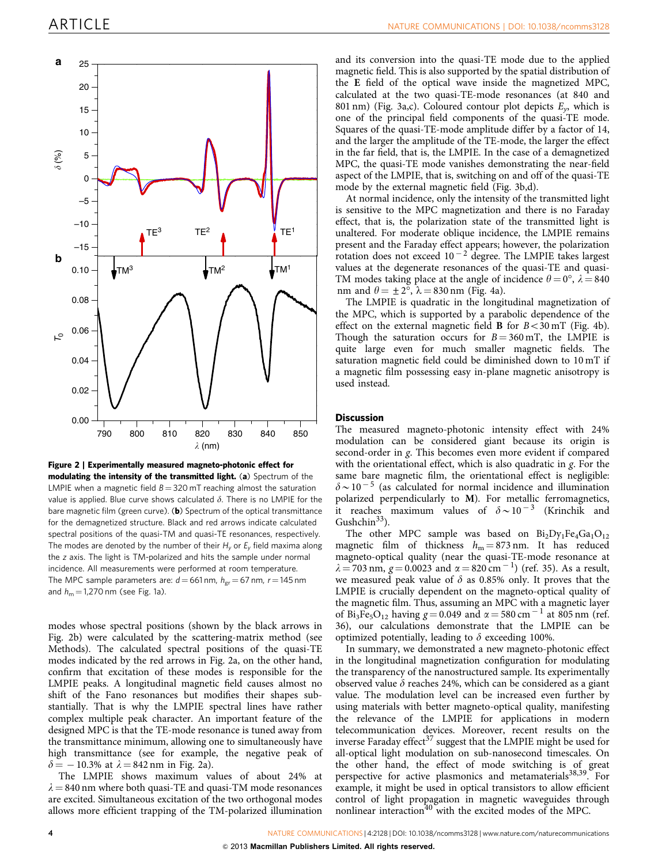<span id="page-5-0"></span>

Figure 2 | Experimentally measured magneto-photonic effect for modulating the intensity of the transmitted light. (a) Spectrum of the LMPIE when a magnetic field  $B = 320$  mT reaching almost the saturation value is applied. Blue curve shows calculated  $\delta$ . There is no LMPIE for the bare magnetic film (green curve). (b) Spectrum of the optical transmittance for the demagnetized structure. Black and red arrows indicate calculated spectral positions of the quasi-TM and quasi-TE resonances, respectively. The modes are denoted by the number of their  $H_v$  or  $E_v$  field maxima along the z axis. The light is TM-polarized and hits the sample under normal incidence. All measurements were performed at room temperature. The MPC sample parameters are:  $d = 661$  nm,  $h_{gr} = 67$  nm,  $r = 145$  nm and  $h_m = 1,270$  nm (see [Fig. 1a\)](#page-3-0).

modes whose spectral positions (shown by the black arrows in Fig. 2b) were calculated by the scattering-matrix method (see Methods). The calculated spectral positions of the quasi-TE modes indicated by the red arrows in Fig. 2a, on the other hand, confirm that excitation of these modes is responsible for the LMPIE peaks. A longitudinal magnetic field causes almost no shift of the Fano resonances but modifies their shapes substantially. That is why the LMPIE spectral lines have rather complex multiple peak character. An important feature of the designed MPC is that the TE-mode resonance is tuned away from the transmittance minimum, allowing one to simultaneously have high transmittance (see for example, the negative peak of  $\delta = -10.3\%$  at  $\lambda = 842$  nm in Fig. 2a).

The LMPIE shows maximum values of about 24% at  $\lambda = 840$  nm where both quasi-TE and quasi-TM mode resonances are excited. Simultaneous excitation of the two orthogonal modes allows more efficient trapping of the TM-polarized illumination

and its conversion into the quasi-TE mode due to the applied magnetic field. This is also supported by the spatial distribution of the E field of the optical wave inside the magnetized MPC, calculated at the two quasi-TE-mode resonances (at 840 and 801 nm) ([Fig. 3a,c](#page-6-0)). Coloured contour plot depicts  $E_y$ , which is one of the principal field components of the quasi-TE mode. Squares of the quasi-TE-mode amplitude differ by a factor of 14, and the larger the amplitude of the TE-mode, the larger the effect in the far field, that is, the LMPIE. In the case of a demagnetized MPC, the quasi-TE mode vanishes demonstrating the near-field aspect of the LMPIE, that is, switching on and off of the quasi-TE mode by the external magnetic field ([Fig. 3b,d](#page-6-0)).

At normal incidence, only the intensity of the transmitted light is sensitive to the MPC magnetization and there is no Faraday effect, that is, the polarization state of the transmitted light is unaltered. For moderate oblique incidence, the LMPIE remains present and the Faraday effect appears; however, the polarization rotation does not exceed  $10^{-2}$  degree. The LMPIE takes largest values at the degenerate resonances of the quasi-TE and quasi-TM modes taking place at the angle of incidence  $\theta = 0^{\circ}$ ,  $\lambda = 840$ nm and  $\theta = \pm 2^{\circ}$ ,  $\lambda = 830$  nm ([Fig. 4a](#page-6-0)).

The LMPIE is quadratic in the longitudinal magnetization of the MPC, which is supported by a parabolic dependence of the effect on the external magnetic field **B** for  $B < 30$  mT ([Fig. 4b](#page-6-0)). Though the saturation occurs for  $B = 360$  mT, the LMPIE is quite large even for much smaller magnetic fields. The saturation magnetic field could be diminished down to 10 mT if a magnetic film possessing easy in-plane magnetic anisotropy is used instead.

## **Discussion**

The measured magneto-photonic intensity effect with 24% modulation can be considered giant because its origin is second-order in g. This becomes even more evident if compared with the orientational effect, which is also quadratic in  $g$ . For the same bare magnetic film, the orientational effect is negligible:  $\delta \sim 10^{-5}$  (as calculated for normal incidence and illumination polarized perpendicularly to M). For metallic ferromagnetics, it reaches maximum values of  $\delta \sim 10^{-3}$  (Krinchik and Gushchin<sup>33</sup>).

The other MPC sample was based on  $Bi_2Dy_1Fe_4Ga_1O_{12}$ magnetic film of thickness  $h_m = 873$  nm. It has reduced magneto-optical quality (near the quasi-TE-mode resonance at  $\lambda = 703$  nm,  $g = 0.0023$  and  $\alpha = 820$  cm<sup>-1</sup>) [\(ref. 35\)](#page-8-0). As a result, we measured peak value of  $\delta$  as 0.85% only. It proves that the LMPIE is crucially dependent on the magneto-optical quality of the magnetic film. Thus, assuming an MPC with a magnetic layer of Bi<sub>3</sub>Fe<sub>5</sub>O<sub>12</sub> having  $g = 0.049$  and  $\alpha = 580$  cm<sup>-1</sup> at 805 nm [\(ref.](#page-8-0) [36\)](#page-8-0), our calculations demonstrate that the LMPIE can be optimized potentially, leading to  $\delta$  exceeding 100%.

In summary, we demonstrated a new magneto-photonic effect in the longitudinal magnetization configuration for modulating the transparency of the nanostructured sample. Its experimentally observed value  $\delta$  reaches 24%, which can be considered as a giant value. The modulation level can be increased even further by using materials with better magneto-optical quality, manifesting the relevance of the LMPIE for applications in modern telecommunication devices. Moreover, recent results on the inverse Faraday effect  $37$  suggest that the LMPIE might be used for all-optical light modulation on sub-nanosecond timescales. On the other hand, the effect of mode switching is of great perspective for active plasmonics and metamaterials<sup>[38,39](#page-8-0)</sup>. For example, it might be used in optical transistors to allow efficient control of light propagation in magnetic waveguides through nonlinear interaction<sup>[40](#page-8-0)</sup> with the excited modes of the MPC.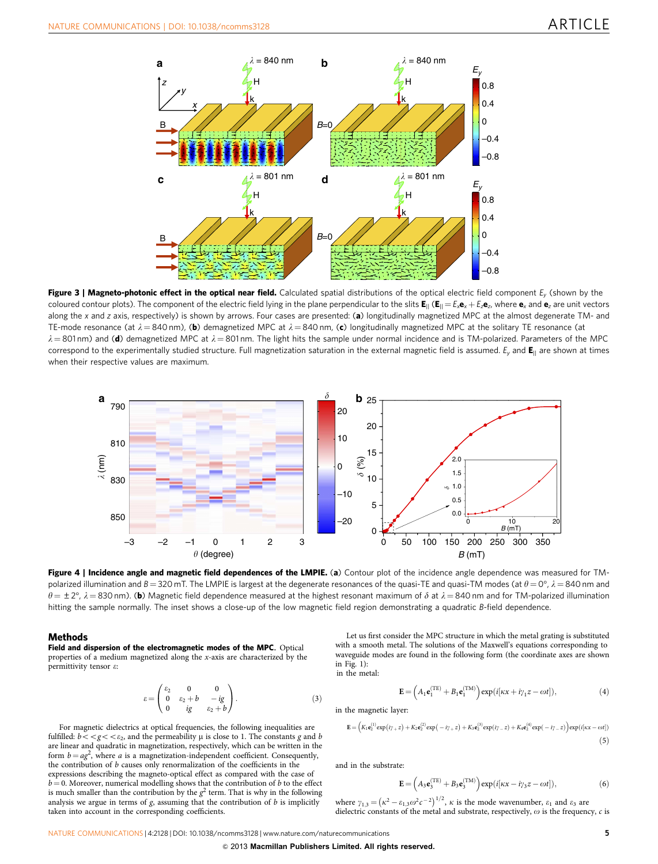<span id="page-6-0"></span>

Figure 3 | Magneto-photonic effect in the optical near field. Calculated spatial distributions of the optical electric field component  $E_v$  (shown by the coloured contour plots). The component of the electric field lying in the plane perpendicular to the slits  $E_{\parallel}$  ( $E_{\parallel} = E_x \mathbf{e}_x + E_z \mathbf{e}_z$ , where  $\mathbf{e}_x$  and  $\mathbf{e}_z$  are unit vectors along the x and z axis, respectively) is shown by arrows. Four cases are presented: (a) longitudinally magnetized MPC at the almost degenerate TM- and TE-mode resonance (at  $\lambda = 840$  nm), (b) demagnetized MPC at  $\lambda = 840$  nm, (c) longitudinally magnetized MPC at the solitary TE resonance (at  $\lambda = 801$  nm) and (d) demagnetized MPC at  $\lambda = 801$  nm. The light hits the sample under normal incidence and is TM-polarized. Parameters of the MPC correspond to the experimentally studied structure. Full magnetization saturation in the external magnetic field is assumed.  $E_v$  and  $E_{\parallel}$  are shown at times when their respective values are maximum.



Figure 4 | Incidence angle and magnetic field dependences of the LMPIE. (a) Contour plot of the incidence angle dependence was measured for TMpolarized illumination and B  $=$  320 mT. The LMPIE is largest at the degenerate resonances of the quasi-TE and quasi-TM modes (at  $\theta$   $=$  0°,  $\lambda$   $=$  840 nm and  $\theta = \pm 2^{\circ}$ ,  $\lambda = 830$  nm). (b) Magnetic field dependence measured at the highest resonant maximum of  $\delta$  at  $\lambda = 840$  nm and for TM-polarized illumination hitting the sample normally. The inset shows a close-up of the low magnetic field region demonstrating a quadratic B-field dependence.

## **Methods**

Field and dispersion of the electromagnetic modes of the MPC. Optical properties of a medium magnetized along the x-axis are characterized by the permittivity tensor e:

$$
\varepsilon = \begin{pmatrix} \varepsilon_2 & 0 & 0 \\ 0 & \varepsilon_2 + b & -ig \\ 0 & ig & \varepsilon_2 + b \end{pmatrix} . \tag{3}
$$

For magnetic dielectrics at optical frequencies, the following inequalities are fulfilled:  $b < g < \varepsilon_2$ , and the permeability  $\mu$  is close to 1. The constants g and b are linear and quadratic in magnetization, respectively, which can be written in the form  $b = a g^2$ , where a is a magnetization-independent coefficient. Consequently, the contribution of b causes only renormalization of the coefficients in the expressions describing the magneto-optical effect as compared with the case of  $b = 0$ . Moreover, numerical modelling shows that the contribution of b to the effect is much smaller than the contribution by the  $g^2$  term. That is why in the following analysis we argue in terms of  $g$ , assuming that the contribution of  $b$  is implicitly taken into account in the corresponding coefficients.

Let us first consider the MPC structure in which the metal grating is substituted with a smooth metal. The solutions of the Maxwell's equations corresponding to waveguide modes are found in the following form (the coordinate axes are shown in [Fig. 1](#page-3-0)): in the metal:

$$
\mathbf{E} = \left( A_1 \mathbf{e}_1^{(\text{TE})} + B_1 \mathbf{e}_1^{(\text{TM})} \right) \exp(i[\kappa x + i\gamma_1 z - \omega t]),\tag{4}
$$

in the magnetic layer:

$$
\mathbf{E} = \left( K_1 \mathbf{e}_2^{(1)} \exp(i\gamma_+ z) + K_2 \mathbf{e}_2^{(2)} \exp(-i\gamma_+ z) + K_3 \mathbf{e}_2^{(3)} \exp(i\gamma_- z) + K_4 \mathbf{e}_2^{(4)} \exp(-i\gamma_- z) \right) \exp(i[\kappa x - \omega t])
$$
\n(5)

and in the substrate:

$$
\mathbf{E} = \left(A_3 \mathbf{e}_3^{\text{(TE)}} + B_3 \mathbf{e}_3^{\text{(TM)}}\right) \exp(i[\kappa x - i\gamma_3 z - \omega t]),\tag{6}
$$

where  $\gamma_{1,3} = (\kappa^2 - \varepsilon_{1,3}\omega^2 c^{-2})^{1/2}$ ,  $\kappa$  is the mode wavenumber,  $\varepsilon_1$  and  $\varepsilon_3$  are dielectric constants of the metal and substrate, respectively,  $\omega$  is the frequency,  $c$  is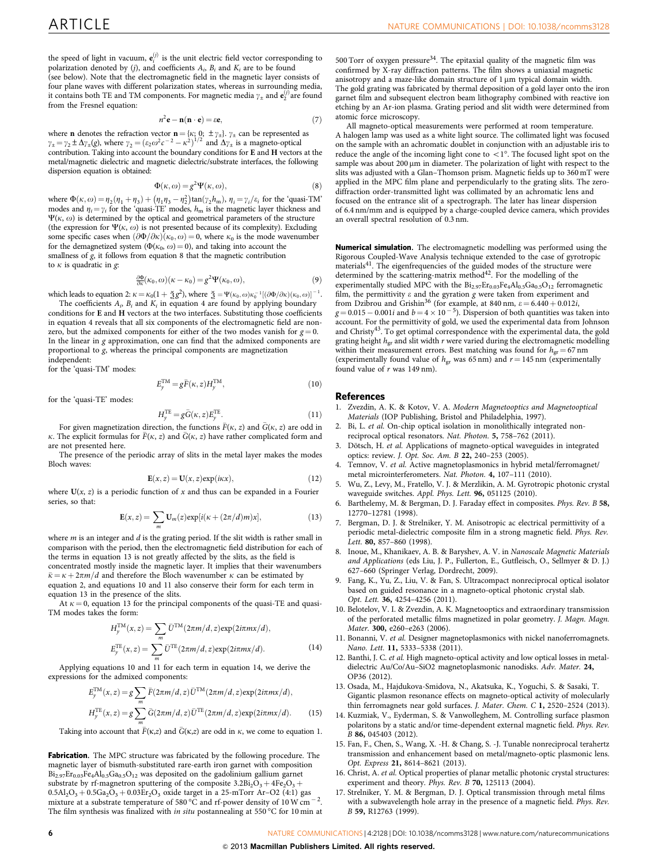<span id="page-7-0"></span>the speed of light in vacuum,  $e_i^{(j)}$  is the unit electric field vector corresponding to polarization denoted by (j), and coefficients  $A_i$ ,  $B_i$  and  $K_i$  are to be found (see below). Note that the electromagnetic field in the magnetic layer consists of four plane waves with different polarization states, whereas in surrounding media, it contains both TE and TM components. For magnetic media  $\gamma_{\pm}$  and  $\mathbf{e}_2^{(j)}$  are found from the Fresnel equation:

$$
n^2 \mathbf{e} - \mathbf{n}(\mathbf{n} \cdot \mathbf{e}) = \varepsilon \mathbf{e},\tag{7}
$$

where **n** denotes the refraction vector  $\mathbf{n} = \{\kappa; 0; \pm \gamma_{\pm}\}\$ .  $\gamma_{\pm}$  can be represented as  $\gamma_{\pm} = \gamma_2 \pm \Delta \gamma_{\pm}(g)$ , where  $\gamma_2 = (\varepsilon_2 \omega^2 c^{-2} - \kappa^2)^{1/2}$  and  $\Delta \gamma_{\pm}$  is a magneto-optical contribution. Taking into account the boundary conditions for E and H vectors at the metal/magnetic dielectric and magnetic dielectric/substrate interfaces, the following dispersion equation is obtained:

$$
\Phi(\kappa, \omega) = g^2 \Psi(\kappa, \omega),\tag{8}
$$

where  $\Phi(\kappa, \omega) = \eta_2(\eta_1 + \eta_3) + (\eta_1 \eta_3 - \eta_2^2) \tan(\gamma_2 h_m)$ ,  $\eta_i = \gamma_i / \varepsilon_i$  for the 'quasi-TM' modes and  $\eta_i = \gamma_i$  for the 'quasi-TE' modes,  $h_m$  is the magnetic layer thickness and  $\Psi(\kappa, \omega)$  is determined by the optical and geometrical parameters of the structure (the expression for  $\Psi(\kappa, \omega)$  is not presented because of its complexity). Excluding some specific cases when  $(\partial \Phi / \partial \kappa)(\kappa_0, \omega) = 0$ , where  $\kappa_0$  is the mode wavenumber for the demagnetized system ( $\Phi(\kappa_0, \omega) = 0$ ), and taking into account the smallness of g, it follows from equation 8 that the magnetic contribution to  $\kappa$  is quadratic in  $g$ :

$$
\frac{\partial \Phi}{\partial \kappa}(\kappa_0, \omega)(\kappa - \kappa_0) = g^2 \Psi(\kappa_0, \omega), \tag{9}
$$

which leads to equation 2:  $\kappa = \kappa_0(1 + \check{2}g^2)$ , where  $\check{2} = \Psi(\kappa_0, \omega) \kappa_0^{-1} [(\partial \Phi / \partial \kappa)(\kappa_0, \omega)]^{-1}$ .

The coefficients  $A_i$ ,  $B_i$  and  $K_i$  in equation 4 are found by applying boundary conditions for E and H vectors at the two interfaces. Substituting those coefficients in equation 4 reveals that all six components of the electromagnetic field are nonzero, but the admixed components for either of the two modes vanish for  $g = 0$ . In the linear in g approximation, one can find that the admixed components are proportional to g, whereas the principal components are magnetization independent:

for the 'quasi-TM' modes:

$$
E_y^{\text{TM}} = g\bar{F}(\kappa, z)H_y^{\text{TM}},\qquad(10)
$$

for the 'quasi-TE' modes:

$$
H_y^{\text{TE}} = g\bar{G}(\kappa, z)E_y^{\text{TE}}.
$$
\n(11)

For given magnetization direction, the functions  $\bar{F}(\kappa, z)$  and  $\bar{G}(\kappa, z)$  are odd in  $\kappa$ . The explicit formulas for  $\bar{F}(\kappa, z)$  and  $\bar{G}(\kappa, z)$  have rather complicated form and are not presented here.

The presence of the periodic array of slits in the metal layer makes the modes Bloch waves:

$$
\mathbf{E}(x, z) = \mathbf{U}(x, z) \exp(i\kappa x), \tag{12}
$$

where  $U(x, z)$  is a periodic function of x and thus can be expanded in a Fourier series, so that:

$$
\mathbf{E}(x,z) = \sum_{m} \mathbf{U}_{m}(z) \exp[i(\kappa + (2\pi/d)m)x], \qquad (13)
$$

where  $m$  is an integer and  $d$  is the grating period. If the slit width is rather small in comparison with the period, then the electromagnetic field distribution for each of the terms in equation 13 is not greatly affected by the slits, as the field is concentrated mostly inside the magnetic layer. It implies that their wavenumbers  $k\bar{k} = \kappa + 2\pi m/d$  and therefore the Bloch wavenumber  $\kappa$  can be estimated by

equation 2, and equations 10 and 11 also conserve their form for each term in equation 13 in the presence of the slits.

At  $\kappa = 0$ , equation 13 for the principal components of the quasi-TE and quasi-TM modes takes the form:

$$
H_y^{\text{TM}}(x,z) = \sum_m \bar{U}^{\text{TM}}(2\pi m/d, z) \exp(2i\pi m x/d),
$$
  
\n
$$
E_y^{\text{TE}}(x,z) = \sum_m \bar{U}^{\text{TE}}(2\pi m/d, z) \exp(2i\pi m x/d).
$$
 (14)

Applying equations 10 and 11 for each term in equation 14, we derive the expressions for the admixed components:

$$
E_y^{\text{TM}}(x,z) = g \sum_m \bar{F}(2\pi m/d, z) \bar{U}^{\text{TM}}(2\pi m/d, z) \exp(2i\pi m x/d),
$$
  
\n
$$
H_y^{\text{TE}}(x,z) = g \sum_m \bar{G}(2\pi m/d, z) \bar{U}^{\text{TE}}(2\pi m/d, z) \exp(2i\pi m x/d).
$$
 (15)

Taking into account that  $\bar{F}(\kappa,z)$  and  $\bar{G}(\kappa,z)$  are odd in  $\kappa$ , we come to equation 1.

Fabrication. The MPC structure was fabricated by the following procedure. The magnetic layer of bismuth-substituted rare-earth iron garnet with composition  $Bi_{2.97}Er_{0.03}Fe_4Al_{0.5}Ga_{0.5}O_{12}$  was deposited on the gadolinium gallium garnet substrate by rf-magnetron sputtering of the composite  $3.2 \text{Bi}_2\text{O}_3 + 4 \text{Fe}_2\text{O}_3 +$  $0.5Al_2O_3 + 0.5Ga_2O_3 + 0.03Er_2O_3$  oxide target in a 25-mTorr Ar-O2 (4:1) gas mixture at a substrate temperature of 580 °C and rf-power density of 10 W cm<sup>-2</sup>. The film synthesis was finalized with in situ postannealing at  $550\,^{\circ}\text{C}$  for 10 min at 500 Torr of oxygen pressure<sup>34</sup>. The epitaxial quality of the magnetic film was confirmed by X-ray diffraction patterns. The film shows a uniaxial magnetic anisotropy and a maze-like domain structure of 1 µm typical domain width. The gold grating was fabricated by thermal deposition of a gold layer onto the iron garnet film and subsequent electron beam lithography combined with reactive ion etching by an Ar-ion plasma. Grating period and slit width were determined from atomic force microscopy.

All magneto-optical measurements were performed at room temperature. A halogen lamp was used as a white light source. The collimated light was focused on the sample with an achromatic doublet in conjunction with an adjustable iris to reduce the angle of the incoming light cone to  $\langle 1^\circ$ . The focused light spot on the sample was about 200 µm in diameter. The polarization of light with respect to the slits was adjusted with a Glan–Thomson prism. Magnetic fields up to 360 mT were applied in the MPC film plane and perpendicularly to the grating slits. The zerodiffraction order-transmitted light was collimated by an achromatic lens and focused on the entrance slit of a spectrograph. The later has linear dispersion of 6.4 nm/mm and is equipped by a charge-coupled device camera, which provides an overall spectral resolution of 0.3 nm.

Numerical simulation. The electromagnetic modelling was performed using the Rigorous Coupled-Wave Analysis technique extended to the case of gyrotropic materials<sup>41</sup>. The eigenfrequencies of the guided modes of the structure were determined by the scattering-matrix method $42$ . For the modelling of the experimentally studied MPC with the  $Bi_{2.97}Er_{0.03}Fe_4Al_{0.5}Ga_{0.5}O_{12}$  ferromagnetic film, the permittivity  $\varepsilon$  and the gyration g were taken from experiment and from Dzibrou and Grishin<sup>[36](#page-8-0)</sup> (for example, at 840 nm,  $\varepsilon = 6.440 + 0.012i$ ,  $g = 0.015 - 0.001i$  and  $b = 4 \times 10^{-5}$ ). Dispersion of both quantities was taken into account. For the permittivity of gold, we used the experimental data from Johnson and Christy[43.](#page-8-0) To get optimal correspondence with the experimental data, the gold grating height  $h_{gr}$  and slit width  $r$  were varied during the electromagnetic modelling within their measurement errors. Best matching was found for  $h_{gr} = 67$  nm (experimentally found value of  $h_{gr}$  was 65 nm) and  $r = 145$  nm (experimentally found value of  $r$  was 149 nm).

#### References

- 1. Zvezdin, A. K. & Kotov, V. A. Modern Magnetooptics and Magnetooptical Materials (IOP Publishing, Bristol and Philadelphia, 1997).
- 2. Bi, L. et al. On-chip optical isolation in monolithically integrated nonreciprocal optical resonators. Nat. Photon. 5, 758–762 (2011).
- Dötsch, H. et al. Applications of magneto-optical waveguides in integrated optics: review. J. Opt. Soc. Am. B 22, 240–253 (2005).
- 4. Temnov, V. et al. Active magnetoplasmonics in hybrid metal/ferromagnet/ metal microinterferometers. Nat. Photon. 4, 107–111 (2010).
- 5. Wu, Z., Levy, M., Fratello, V. J. & Merzlikin, A. M. Gyrotropic photonic crystal waveguide switches. Appl. Phys. Lett. 96, 051125 (2010).
- 6. Barthelemy, M. & Bergman, D. J. Faraday effect in composites. Phys. Rev. B 58, 12770–12781 (1998).
- 7. Bergman, D. J. & Strelniker, Y. M. Anisotropic ac electrical permittivity of a periodic metal-dielectric composite film in a strong magnetic field. Phys. Rev. Lett. 80, 857-860 (1998).
- 8. Inoue, M., Khanikaev, A. B. & Baryshev, A. V. in Nanoscale Magnetic Materials and Applications (eds Liu, J. P., Fullerton, E., Gutfleisch, O., Sellmyer & D. J.) 627–660 (Springer Verlag, Dordrecht, 2009).
- 9. Fang, K., Yu, Z., Liu, V. & Fan, S. Ultracompact nonreciprocal optical isolator based on guided resonance in a magneto-optical photonic crystal slab. Opt. Lett. 36, 4254–4256 (2011).
- 10. Belotelov, V. I. & Zvezdin, A. K. Magnetooptics and extraordinary transmission of the perforated metallic films magnetized in polar geometry. J. Magn. Magn. Mater. 300, e260–e263 (2006).
- 11. Bonanni, V. et al. Designer magnetoplasmonics with nickel nanoferromagnets. Nano. Lett. 11, 5333–5338 (2011).
- 12. Banthi, J. C. et al. High magneto-optical activity and low optical losses in metaldielectric Au/Co/Au–SiO2 magnetoplasmonic nanodisks. Adv. Mater. 24, OP36 (2012).
- 13. Osada, M., Hajdukova-Smidova, N., Akatsuka, K., Yoguchi, S. & Sasaki, T. Gigantic plasmon resonance effects on magneto-optical activity of molecularly thin ferromagnets near gold surfaces. J. Mater. Chem. C 1, 2520–2524 (2013).
- 14. Kuzmiak, V., Eyderman, S. & Vanwolleghem, M. Controlling surface plasmon polaritons by a static and/or time-dependent external magnetic field. Phys. Rev. B 86, 045403 (2012).
- 15. Fan, F., Chen, S., Wang, X. -H. & Chang, S. -J. Tunable nonreciprocal terahertz transmission and enhancement based on metal/magneto-optic plasmonic lens. Opt. Express 21, 8614–8621 (2013).
- 16. Christ, A. et al. Optical properties of planar metallic photonic crystal structures: experiment and theory. Phys. Rev. B 70, 125113 (2004).
- 17. Strelniker, Y. M. & Bergman, D. J. Optical transmission through metal films with a subwavelength hole array in the presence of a magnetic field. Phys. Rev. B 59, R12763 (1999).